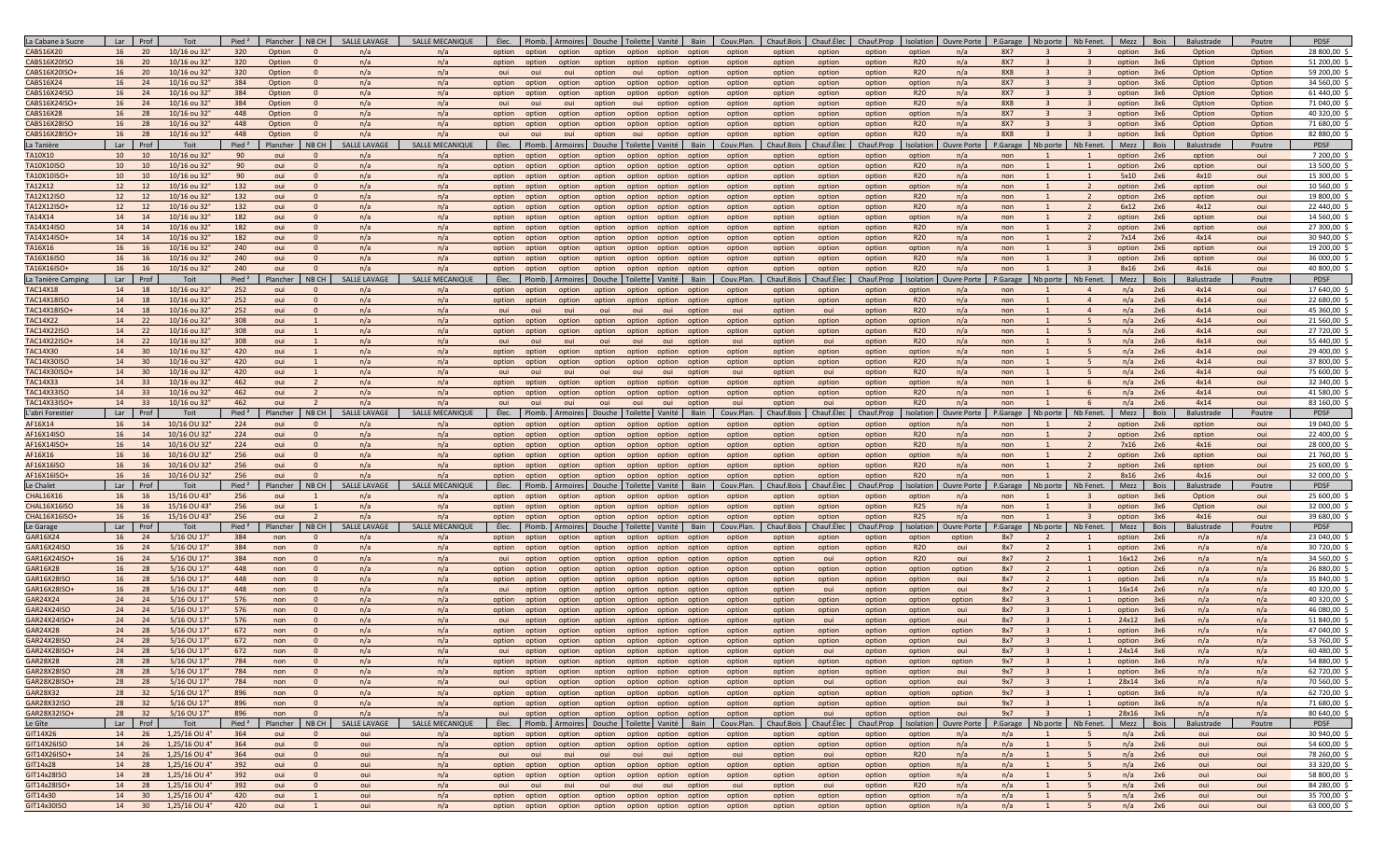| La Cabane à Sucre        | Lar I<br>Prof             | Toit                 | Pied <sup>2</sup>        | Plancher        | NB CH             | SALLE LAVAGE        | <b>SALLE MECANIQUE</b>        | Élec.           | Plomb. Armoires Douche Toilette Vanité           |        |                      |                  | Bain                                              | Couv.Plan.          | Chauf.Bois           | Chauf.Elec           | Chauf.Prop           | Isolation               | Ouvre Porte               | P.Garage                              | Nb porte Nb Fenet.                      | Mezz Bois         |           | Balustrade         | Poutre        | PDSF                   |
|--------------------------|---------------------------|----------------------|--------------------------|-----------------|-------------------|---------------------|-------------------------------|-----------------|--------------------------------------------------|--------|----------------------|------------------|---------------------------------------------------|---------------------|----------------------|----------------------|----------------------|-------------------------|---------------------------|---------------------------------------|-----------------------------------------|-------------------|-----------|--------------------|---------------|------------------------|
| CABS16X20                | 16<br>20                  | 10/16 ou 32°         | 320                      | Option          |                   | n/a                 | n/a                           | option          | option                                           | option | option option option |                  | option                                            | option              | option               | option               | option               | option                  | n/a                       | <b>8X7</b><br>$\mathbf{R}$            |                                         | option            | 3x6       | Option             | Option        | 28 800,00              |
| <b>CABS16X20ISO</b>      | 16<br>20                  | 10/16 ou 32°         | 320                      | Option          | $\Omega$          | n/a                 | n/a                           | option          | option                                           | option |                      |                  | option option option option                       | option              | option               | option               | option               | R <sub>20</sub>         | n/a                       | <b>8X7</b>                            | $\overline{3}$<br>$\overline{3}$        | option            | 3x6       | Option             | Option        | 51 200,00              |
| CABS16X20ISO+            | 16<br>20                  | $10/16$ ou 32°       | 320                      | Option          | $\Omega$          | n/a                 | n/a                           | oui             | oui                                              | oui    | option               | oui              | option<br>option                                  | option              | option               | option               | option               | R <sub>20</sub>         | n/a                       | <b>8X8</b>                            |                                         | option            | 3x6       | Option             | Option        | 59 200,00              |
| CABS16X24                | 16<br>24                  | 10/16 ou 32°         | 384                      | Option          | $\Omega$          | n/a                 | n/a                           | option          | option                                           | option | option               |                  | option option option                              | option              | option               | option               | option               | option                  | n/a                       | <b>8X7</b>                            |                                         | option            | 3x6       | Option             | Option        | 34 560,00              |
| CABS16X24ISO             | 16<br>24                  | 10/16 ou 32°         | 384                      | Option          | $\Omega$          | n/a                 | n/a                           | option          | option                                           | option | option               | option           | option<br>option                                  | option              | option               | option               | option               | R20                     | n/a                       | <b>8X7</b>                            |                                         | option            | 3x6       | Option             | Option        | 61 440,00              |
| CABS16X24ISO             | 16<br>24                  | 10/16 ou 32°         | 384                      | Option          | $\Omega$          | n/a                 | n/a                           | oui             | oui                                              | oui    | option               | oui              | option<br>option                                  | option              | option               | option               | option               | R <sub>20</sub>         | n/a                       | <b>8X8</b>                            |                                         | option            | 3x6       | Option             | Option        | 71 040,00              |
| <b>CABS16X28</b>         | 16<br>28                  | 10/16 ou 32°         | 448                      | Option          | $\Omega$          | n/a                 | n/a                           | option          | option                                           | option | option               | option option    | option                                            | option              | option               | option               | option               | option                  | n/a                       | <b>8X7</b>                            |                                         | option            | 3x6       | Option             | Option        | 40 320,00              |
| <b>CABS16X28ISO</b>      | 16<br>28                  | 10/16 ou 32°         | 448                      | Option          |                   | n/a                 | n/a                           | option          | option                                           | option | option               | option           | option<br>option                                  | option              | option               | option               | option               | R <sub>20</sub>         | n/a                       | <b>8X7</b>                            |                                         | option            | 3x6       | Option             | Option        | 71 680,00              |
| CABS16X28ISO-            | 16<br>28                  | 10/16 ou 32°         | 448                      | Option          | $\mathbf{0}$      | n/a                 | n/a                           | oui             | oui                                              | oui    | option               | oui              | option<br>option                                  | option              | option               | option               | option               | <b>R20</b>              | n/a                       | <b>8X8</b><br>$\overline{\mathbf{3}}$ |                                         | option            | 3x6       | Option             | Option        | 82 880,00              |
| La Tanière               | Lar<br>Prof               | Toit                 | Pied <sup>2</sup>        | Plancher        | NB CH             | <b>SALLE LAVAGE</b> | SALLE MECANIQUE               | Élec.           | Plomb. Armoires Douche Toilette Vanité           |        |                      |                  | Bain                                              | Couv.Plan           | Chauf.Bois           | Chauf.Élec           | Chauf.Prop           | Isolation               | <b>Ouvre Porte</b>        | P.Garage                              | Nb Fenet.<br>Nb porte                   | Mezz              | Bois      | Balustrade         | Poutre        | PDSF                   |
| TA10X10                  | 10<br>10                  | 10/16 ou 32°         | 90                       | oui             |                   | n/a                 | n/a                           | option          | option                                           | option | option               |                  | option option option                              | option              | option               | option               | option               | option                  | n/a                       | non                                   | $\overline{1}$                          | option            | 2x6       | option             | oui           | 7 200,00               |
| TA10X10ISO               | 10<br>10                  | $10/16$ ou 32°       | 90                       | oui             |                   | n/a                 | n/a                           | option          | option                                           | option | option               | option           | option<br>option                                  | option              | option               | option               | option               | R <sub>20</sub>         | n/a                       | non                                   |                                         | option            | 2x6       | option             | oui           | 13 500,00              |
| TA10X10ISO+              | 10<br>10                  | 10/16 ou 32°         | 90                       | oui             | $\mathbf{0}$      | n/a                 | n/a                           | option          | option                                           | option | option               |                  | option option option                              | option              | option               | option               | option               | R20                     | n/a                       | non                                   |                                         | 5x10              | 2x6       | 4x10               | oui           | 15 300,00              |
| TA12X12                  | 12<br>12                  | 10/16 ou 32°         | 132                      | oui             |                   | n/a                 | n/a                           | option          | option                                           | option | option               | option option    | option                                            | option              | option               | option               | option               | option                  | n/a                       | non                                   | $\overline{2}$                          | option            | 2x6       | option             | oui           | 10 560,00              |
| TA12X12ISO               | 12<br>12                  | 10/16 ou 32°         | 132                      | oui             | $\Omega$          | n/a                 | n/a                           | option          | option                                           | option | option               | option option    | option                                            | option              | option               | option               | option               | R <sub>20</sub>         | n/a                       | non                                   | $\overline{2}$<br>$\mathbf{1}$          | option            | 2x6       | option             | oui           | 19 800,00              |
| TA12X12ISO+              | 12                        | 10/16 ou 32°         | 132                      | oui             |                   | n/a                 | n/a                           | option          | option                                           | option | option               | option<br>option | option                                            | option              | option               | option               | option               | <b>R20</b>              | n/a                       | non                                   |                                         | 6x12              | 2x6       | 4x12               | oui           | 22 440,00              |
| TA14X14                  | 14<br>14                  | 10/16 ou 32°         | 182                      | oui             | $\Omega$          | n/a                 | n/a                           | option option   |                                                  | option |                      |                  | option option option option                       | option              | option               | option               | option               | option                  | n/a                       | non                                   | $\overline{2}$                          | option            | 2x6       | option             | oui           | 14 560,00              |
| TA14X14ISO               | 14<br>14                  | 10/16 ou 32°         | 182                      | oui             | $\Omega$          | n/a                 | n/a                           | option option   |                                                  | option |                      |                  | option option option option                       | option              | option               | option               | option               | R <sub>20</sub>         | n/a                       | non                                   | $\overline{2}$                          | option            | 2x6       | option             | oui           | 27 300,00              |
| TA14X14ISO+              | 14<br>14                  | 10/16 ou 32°         | 182                      | oui             |                   | n/a                 | n/a                           |                 | option option                                    | option |                      |                  | option option option option                       | option              | option               | option               | option               | R20                     | n/a                       | non                                   |                                         | 7x14              | 2x6       | 4x14               | oui           | 30 940,00              |
| TA16X16                  | 16<br>16                  | 10/16 ou 32°         | 240                      | oui             | $\Omega$          | n/a                 | n/a                           | option          | option                                           | option | option               | option option    | option                                            | option              | option               | option               | option               | option                  | n/a                       | non                                   | $\overline{z}$                          | option            | 2x6       | option             | oui           | 19 200,00              |
| TA16X16ISO               | 16<br>16                  | 10/16 ou 32°         | 240                      | oui             | $\Omega$          | n/a                 | n/a                           |                 | option option option                             |        |                      |                  | option option option option                       | option              | option               | option               | option               | <b>R20</b>              | n/a                       | non                                   |                                         | option            | 2x6       | option             | oui           | 36 000,00              |
| TA16X16ISO+              | 16<br>16                  | $10/16$ ou 32°       | 240                      | oui             | $\Omega$          | n/a                 | n/a                           | option          | option                                           | option | option               | option<br>option | option                                            | option              | option               | option               | option               | <b>R20</b>              | n/a                       | non                                   |                                         | 8x16              | 2x6       | 4x16               | oui           | 40 800,00              |
| La Tanière Camp          | Lar<br>Prof               | Toit                 | Pied <sup>2</sup>        | Plancher        | NB CH             | <b>SALLE LAVAGI</b> | SALLE MECANIQUE               |                 | Élec. Plomb. Armoires Douche Toilette Vanité     |        |                      |                  | Bain                                              | Couv.Plan           | Chauf.Bois           | Chauf.Élec           | Chauf.Prop           | Isolation               | <b>Ouvre Porte</b>        | P.Garage                              | Nb porte Nb Fenet.                      | Mezz Bois         |           | Balustrade         | Poutre        | PDSF                   |
| <b>TAC14X18</b>          | 14<br>18                  | 10/16 ou 32°         | 252                      | oui             |                   | n/a                 | n/a                           | option          | option                                           | option | option               | option option    | option                                            | option              | option               | option               | option               | option                  | n/a                       | non                                   | $\Delta$                                | n/a               | 2x6       | 4x14               | oui           | 17 640.00              |
| <b>TAC14X18ISO</b>       | 14<br>18                  | 10/16 ou 32°         | 252                      | oui             | $\Omega$          | n/a                 | n/a                           |                 | option option                                    | option |                      |                  | option option option option                       | option              | option               | option               | option               | R <sub>20</sub>         | n/a                       | non                                   | $\overline{4}$                          | n/a               | 2x6       | 4x14               | oui           | 22 680.00              |
| TAC14X18ISO+             | 14<br>18                  | 10/16 ou 32°         | 252                      | oui             | $\Omega$          | n/a                 | n/a                           | oui             | oui                                              | oui    | oui                  | oui              | oui<br>option                                     | oui                 | option               | oui                  | option               | R <sub>20</sub>         | n/a                       | non                                   | $\overline{4}$                          | n/a               | 2x6       | 4x14               | oui           | 45 360,00              |
| TAC14X22                 | 14<br>22                  | 10/16 ou 32°         | 308                      | oui             |                   | n/a                 | n/a                           | option          | option                                           | option |                      |                  | option option option option                       | option              | option               | option               | option               | option                  | n/a                       | non                                   | 5 <sup>1</sup>                          | n/a               | 2x6       | 4x14               | oui           | 21 560,00              |
| TAC14X22ISO              | 14<br>22                  | $10/16$ ou 32°       | 308                      | oui             | $\mathbf{1}$      | n/a                 | n/a                           | option          | option                                           | option | option               | option option    | option                                            | option              | option               | option               | option               | R <sub>20</sub>         | n/a                       | non                                   | -5<br>$\overline{1}$                    | n/a               | 2x6       | 4x14               | oui           | 27 720,00              |
| TAC14X22ISO+             | 14<br>22                  | 10/16 ou 32°         | 308                      | oui             |                   | n/a                 | n/a                           | oui             | oui                                              | oui    | oui                  | oui              | oui<br>option                                     | oui                 | option               | oui                  | option               | R20                     | n/a                       | non                                   |                                         | n/a               | 2x6       | 4x14               | oui           | 55 440,00              |
| TAC14X30                 | 14<br>30                  | 10/16 ou 32°         | 420                      | oui             |                   | n/a                 | n/a                           | option          | option                                           | option | option               | option           | option<br>option                                  | option              | option               | option               | option               | option                  | n/a                       | non                                   |                                         | n/a               | 2x6       | 4x14               | oui           | 29 400,00              |
| <b>TAC14X30ISO</b>       | 14<br>30                  | 10/16 ou 32°         | 420                      | oui             |                   | n/a                 | n/a                           | option          | option                                           | option | option               | option option    | option                                            | option              | option               | option               | option               | R <sub>20</sub>         | n/a                       | non                                   | $\overline{5}$                          | n/a               | 2x6       | 4x14               | oui           | 37 800,00              |
| <b>FAC14X30ISO-</b>      | 14<br>30                  | 10/16 ou 32°         | 420                      | oui             |                   | n/a                 | n/a                           | oui             | oui                                              | oui    | oui                  | oui              | oui<br>option                                     | oui                 | option               | oui                  | option               | R20                     | n/a                       | non                                   |                                         | n/a               | 2x6       | 4x14               | oui           | 75 600,00              |
| TAC14X33                 | 14<br>33                  | 10/16 ou 32°         | 462                      | oui             |                   | n/a                 | n/a                           | option          | option                                           | option | option               | option           | option<br>option                                  | option              | option               | option               | option               | option                  | n/a                       | non                                   |                                         | n/a               | 2x6       | 4x14               | oui           | 32 340,00              |
| TAC14X33ISO              | 14<br>33                  | 10/16 ou 32°         | 462                      | oui             | $\overline{2}$    | n/a                 | n/a                           | option          | option                                           | option | option               | option           | option<br>option                                  | option              | option               | option               | option               | R <sub>20</sub>         | n/a                       | non                                   | -6                                      | n/a               | 2x6       | 4x14               | oui           | 41 580,00              |
| TAC14X33ISO+             | 14<br>33                  | $10/16$ ou 32°       | 462                      | oui             |                   | n/a                 | n/a                           | oui             | oui                                              | oui    | oui                  | oui              | oui<br>option                                     | oui                 | option               | oui                  | option               | R20                     | n/a                       | non                                   | 6                                       | n/a               | 2x6       | 4x14               | oui           | 83 160,00              |
| L'abri Forestier         | Lar<br>Prof               | Toit                 | Pied <sup>2</sup>        | Plancher        | NB CH             | <b>SALLE LAVAGE</b> | SALLE MECANIQUE               | Élec.           | Plomb, Armoires Douche Toilette Vanité           |        |                      |                  | Bain                                              | Couv.Plan.          | Chauf.Bois           | Chauf.Élec           | Chauf.Prop           | Isolation               | Ouvre Porte               | P.Garage                              | Nb porte Nb Fenet.                      | Mezz Bois         |           | Balustrade         | Poutre        | PDSF                   |
| AF16X14                  | 16<br>14                  | 10/16 OU 32          | 224                      | oui             |                   | n/a                 | n/a                           | option          | option                                           | option | option               | option           | option<br>option                                  | option              | option               | option               | option               | option                  | n/a                       | non                                   |                                         | option            | 2x6       | option             | oui           | 19 040,00              |
| AF16X14ISO               | 16<br>14                  | 10/16 OU 32°         | 224                      | oui             |                   | n/a                 | n/a                           | option          | option                                           | option | option               | option           | option<br>option                                  | option              | option               | option               | option               | R <sub>20</sub>         | n/a                       | non                                   |                                         | option            | 2x6       | option             | oui           | 22 400,00              |
| AF16X14ISO+              | 16<br>14                  | 10/16 OU 32°         | 224                      | oui             |                   | n/a                 | n/a                           | option          | option                                           | option | option               |                  | option option option                              | option              | option               | option               | option               | R <sub>20</sub>         | n/a                       | non                                   |                                         | 7x16              | 2x6       | 4x16               | oui           | 28 000,00              |
| AF16X16                  | 16<br>16                  | 10/16 OU 32°         | 256                      | oui             | $\Omega$          | n/a                 | n/a                           | option          | option                                           | option | option               | option           | option<br>option                                  | option              | option               | option               | option               | option                  | n/a                       | non                                   | $\overline{2}$                          | option            | 2x6       | option             | oui           | 21 760,00              |
| AF16X16ISO               | 16<br>16                  | 10/16 OU 32          | 256                      | oui             |                   | n/a                 | n/a                           | option          | option                                           | option | option               | option option    | option                                            | option              | option               | option               | option               | R <sub>20</sub>         | n/a                       | non                                   |                                         | option            | 2x6       | option             | oui           | 25 600,00<br>32 000.00 |
| AF16X16ISO+<br>Le Chalet | 16<br>16<br>Lar I<br>Prof | 10/16 OU 32°<br>Toit | 256<br>Pied <sup>2</sup> | oui<br>Plancher | $\Omega$<br>NB CH | n/a<br>SALLE LAVAGI | n/a<br><b>SALLE MECANIQUE</b> | option<br>Élec. | option<br>Plomb. Armoires Douche Toilette Vanité | option | option               | option option    | option<br>Bain                                    | option<br>Couv.Plan | option<br>Chauf.Bois | option<br>Chauf.Élec | option<br>Chauf.Prop | <b>R20</b><br>Isolation | n/a<br><b>Ouvre Porte</b> | non<br>P.Garage                       | Nb porte Nb Fenet.                      | 8x16<br>Mezz Bois | 2x6       | 4x16<br>Balustrade | oui<br>Poutre | PDSF                   |
| CHAL16X16                | 16<br>16                  | 15/16 OU 43°         | 256                      | oui             |                   | n/a                 | n/a                           |                 |                                                  |        |                      |                  |                                                   |                     |                      |                      |                      |                         | n/a                       | non                                   |                                         |                   | 3x6       | Option             |               | 25 600,00              |
| CHAL16X16ISO             | 16<br>16                  | 15/16 OU 43°         | 256                      | oui             |                   | n/a                 | n/a                           | option          | option option option<br>option                   | option | option               | option option    | option option option option<br>option             | option<br>option    | option<br>option     | option<br>option     | option<br>option     | option<br><b>R25</b>    | n/a                       | non                                   | $\mathbf{R}$                            | option<br>option  | 3x6       | Option             | oui<br>oui    | 32 000,00              |
| CHAL16X16ISO+            | 16<br>16                  | 15/16 OU 43°         | 256                      | oui             |                   | n/a                 | n/a                           | option option   |                                                  | option |                      |                  | option option option option                       | option              | option               | option               | option               | R25                     | n/a                       | non                                   | $\mathbf{R}$                            | option            | 3x6       | 4x16               | oui           | 39 680.00              |
| Le Garage                | Lar<br>Prof               | Toit                 | Pied <sup>2</sup>        | Plancher        | NB CH             | <b>SALLE LAVAGE</b> | SALLE MECANIQUI               | Élec.           | Plomb. Armoires Douche Toilette Vanité           |        |                      |                  | Bain                                              | Couv.Plan           | Chauf.Bois           | Chauf.Élec           | Chauf.Prop           | Isolation               | <b>Ouvre Porte</b>        | P.Garage                              | Nb porte Nb Fenet.                      | Mezz              | Bois      | Balustrade         | Poutre        | PDSF                   |
| GAR16X24                 | 16<br>24                  | 5/16 OU 17°          | 384                      | non             |                   | n/a                 | n/a                           |                 | option option                                    | option |                      |                  | option option option option                       | option              | option               | option               | option               | option                  | option                    | 8x7                                   |                                         | option            | 2x6       | n/a                | n/a           | 23 040,00              |
| GAR16X24ISO              | 16<br>24                  | 5/16 OU 17°          | 384                      | non             | $\Omega$          | n/a                 | n/a                           | option          | option                                           | option | option               | option option    | option                                            | option              | option               | option               | option               | R <sub>20</sub>         | oui                       | 8x7<br>$\overline{\phantom{a}}$       | $\overline{1}$                          | option            | 2x6       | n/a                | n/a           | 30 720,00              |
| GAR16X24ISO+             | 16<br>24                  | 5/16 OU 17°          | 384                      | non             | $\Omega$          | n/a                 | n/a                           | oui             | option                                           | option |                      |                  | option option option option                       | option              | option               | oui                  | option               | R <sub>20</sub>         | oui                       | 8x7<br>$\overline{\phantom{a}}$       | $\overline{1}$                          | 16x12             | 2x6       | n/a                | n/a           | 34 560.00              |
| GAR16X28                 | 16<br>28                  | 5/16 OU 17°          | 448                      | non             | $\Omega$          | n/a                 | n/a                           | option          | option                                           | option | option option option |                  | option                                            | option              | option               | option               | option               | option                  | option                    | 8x7<br>$\overline{2}$                 | $\overline{1}$                          | option            | 2x6       | n/a                | n/a           | 26 880,00              |
| GAR16X28ISO              | 16<br>28                  | 5/16 OU 17°          | 448                      | non             | $\Omega$          | n/a                 | n/a                           | option          | option                                           | option |                      |                  | option option option option                       | option              | option               | option               | option               | option                  | oui                       | 8x7                                   | $\overline{2}$<br>1                     | option            | 2x6       | n/a                | n/a           | 35 840,00              |
| GAR16X28ISO-             | 16<br>28                  | 5/16 OU 17°          | 448                      | non             | $\Omega$          | n/a                 | n/a                           | oui             | option                                           | option |                      |                  | option option option option                       | option              | option               | oui                  | option               | option                  | oui                       | 8x7<br>$\overline{\phantom{a}}$       | $\mathbf{1}$                            | 16x14             | 2x6       | n/a                | n/a           | 40 320.00              |
| GAR24X24                 | 24<br>24                  | 5/16 OU 17°          | 576                      | non             | $\Omega$          | n/a                 | n/a                           | option          | option                                           | option | option               | option option    | option                                            | option              | option               | option               | option               | option                  | option                    | 8x7<br>$\overline{3}$                 | $\overline{1}$                          | option            | 3x6       | n/a                | n/a           | 40 320,00              |
| GAR24X24ISO              | 24<br>24                  | 5/16 OU 17           | 576                      | non             | $\Omega$          | n/a                 | n/a                           | option          | option                                           | option | option               | option           | option<br>option                                  | option              | option               | option               | option               | option                  | oui                       | 8x7                                   |                                         | option            | 3x6       | n/a                | n/a           | 46 080,00              |
| GAR24X24ISO-             | 24<br>24                  | 5/16 OU 17°          | 576                      | non             | $\Omega$          | n/a                 | n/a                           | oui             | option                                           | option | option               | option option    | option                                            | option              | option               | oui                  | option               | option                  | oui                       | 8x7                                   |                                         | 24x12             | 3x6       | n/a                | n/a           | 51 840,00              |
| GAR24X28                 | 24<br>28                  | 5/16 OU 17°          | 672                      | non             | $\Omega$          | n/a                 | n/a                           | option          | option                                           | option | option               | option<br>option | option                                            | option              | option               | option               | option               | option                  | option                    | 8x7                                   |                                         | ontion            | 3x6       | n/a                | n/a           | 47 040,00              |
| GAR24X28ISO              | 24<br>28                  | 5/16 OU 17           | 672                      | non             |                   | n/a                 | n/a                           | option          | option                                           | option | option               | option option    | option                                            | option              | option               | option               | option               | option                  | oui                       | 8x7                                   |                                         | option            | 3x6       | n/a                | n/a           | 53 760,00              |
| GAR24X28ISO+             | 24<br>28                  | 5/16 OU 17°          | 672                      | non             |                   | n/a                 | n/a                           | oui             | option                                           | option |                      |                  | option option option option                       | option              | option               | oui                  | option               | option                  | oui                       | 8x7                                   |                                         | 24x14             | 3x6       | n/a                | n/a           | 60 480.00              |
| GAR28X28                 | 28<br>28                  | 5/16 OU 17°          | 784                      | non             | $\mathbf{0}$      | n/a                 | n/a                           |                 |                                                  |        |                      |                  | option option option option option option option  | option              | option               | option               | option               | option                  | option                    | 9x7                                   | $\overline{\mathbf{3}}$                 | option            | 3x6       | n/a                | n/a           | 54 880,00 \$           |
| GAR28X28ISO              | 28 28                     | 5/16 OU 17°          | 784                      | non             | $\overline{0}$    | n/a                 | n/a                           |                 |                                                  |        |                      |                  | option option option option option option option  | option              | option               | option               | option               | option                  | oui                       | 9x7                                   | $\overline{\mathbf{3}}$<br>$\mathbf{1}$ | option            | 3x6       | n/a                | n/a           | 62 720,00 \$           |
| GAR28X28ISO+             | 28 28                     | 5/16 OU 17°          | 784                      | non             | $\overline{0}$    | n/a                 | n/a                           |                 |                                                  |        |                      |                  | oui option option option option option option     | option              | option               | oui                  | option               | option                  | oui                       | 9x7                                   |                                         | 28x14 3x6         |           | n/a                | n/a           | 70 560,00 \$           |
| GAR28X32                 | 28 32                     | 5/16 OU 17°          | 896                      | non             | $\overline{0}$    | n/a                 | n/a                           |                 | option option option                             |        |                      |                  | option option option option                       | option              | option               | option               | option               | option                  | option                    | 9x7                                   | $\overline{\mathbf{3}}$<br>1            | option            | 3x6       | n/a                | n/a           | 62 720,00 \$           |
| GAR28X32ISO              | 28 32                     | 5/16 OU 17°          | 896                      | non             | $\mathbf{0}$      | n/a                 | n/a                           |                 |                                                  |        |                      |                  | option option option option option option option  | option              | option               | option               | option               | option                  | oui                       | 9x7<br>$\overline{3}$                 | $\mathbf{1}$                            | option            | 3x6       | n/a                | n/a           | 71 680,00 \$           |
| GAR28X32ISO+             | 28 32                     | 5/16 OU 17°          | 896                      | non             | $\overline{0}$    | n/a                 | n/a                           | oui             | option option                                    |        |                      |                  | option option option option                       | option              | option               | oui                  | option               | option                  | oui                       | 9x7                                   | $\overline{\mathbf{3}}$<br>$\mathbf{1}$ | 28x16             | 3x6       | n/a                | n/a           | 80 640,00 \$           |
| Le Gîte                  | Lar Prof                  | Toit                 | Pied <sup>2</sup>        | Plancher        | NB CH             | SALLE LAVAGE        | SALLE MECANIQUE               |                 |                                                  |        |                      |                  | Élec. Plomb. Armoires Douche Toilette Vanité Bain | Couv.Plan.          | Chauf.Bois           | Chauf.Elec           | Chauf.Prop           | Isolation               | Ouvre Porte               | P.Garage                              | Nb porte Nb Fenet.                      |                   | Mezz Bois | Balustrade         | Poutre        | PDSF                   |
| GIT14X26                 |                           | 14 26 1,25/16 OU 4°  | 364                      | oui             | $\mathbf{0}$      | oui                 | n/a                           |                 |                                                  |        |                      |                  | option option option option option option option  | option              | option               | option               | option               | option                  | n/a                       | n/a                                   | 1<br>- 5                                | n/a               | 2x6       | oui                | oui           | 30 940,00 \$           |
| GIT14X26ISO              |                           | 14 26 1,25/16 OU 4°  | 364                      | oui             | $\overline{0}$    | oui                 | n/a                           |                 | option option option                             |        |                      |                  | option option option option                       | option              | option               | option               | option               | option                  | n/a                       | n/a                                   | 5 <sup>5</sup><br>$\overline{1}$        | n/a               | 2x6       | oui                | oui           | 54 600,00 \$           |
| GIT14X26ISO+             |                           | 14 26 1,25/16 OU 4°  | 364                      | oui             | $\overline{0}$    | oui                 | n/a                           | oui             | oui                                              | oui    | oui                  |                  | oui oui option                                    | oui                 | option               | oui                  | option               | <b>R20</b>              | n/a                       | n/a                                   | 5<br>1                                  | n/a               | 2x6       | oui                | oui           | 78 260,00 \$           |
| GIT14x28                 |                           | 14 28 1,25/16 OU 4°  | 392                      | oui             | $\overline{0}$    | oui                 | n/a                           |                 | option option option                             |        |                      |                  | option option option option                       | option              | option               | option               | option               | option                  | n/a                       | n/a                                   | 5 <sup>5</sup><br>1                     | n/a               | 2x6       | oui                | oui           | 33 320,00 \$           |
| GIT14x28ISO              |                           | 14 28 1,25/16 OU 4°  | 392                      | oui             | $\overline{0}$    | oui                 | n/a                           |                 |                                                  |        |                      |                  | option option option option option option option  | option              | option               | option               | option               | option                  | n/a                       | n/a                                   | 5 <sup>5</sup><br>$\overline{1}$        | n/a               | 2x6       | oui                | oui           | 58 800,00 \$           |
| GIT14x28ISO+             |                           | 14 28 1,25/16 OU 4°  | 392                      | oui             | $\Omega$          | oui                 | n/a                           | oui             | oui                                              | oui    | oui                  | oui              | oui<br>option                                     | oui                 | option               | oui                  | option               | R <sub>20</sub>         | n/a                       | n/a                                   | 5 <sup>5</sup>                          | n/a               | 2x6       | oui                | oui           | 84 280,00 \$           |
| GIT14x30                 |                           | 14 30 1,25/16 OU 4°  | 420                      | oui             | 1                 | oui                 | n/a                           |                 | option option option                             |        |                      |                  | option option option option                       | option              | option               | option               | option               | option                  | n/a                       | n/a                                   | 1<br>5 <sup>5</sup>                     | n/a               | 2x6       | oui                | oui           | 35 700,00 \$           |
| GIT14x30ISO              |                           | 14 30 1,25/16 OU 4°  | 420                      | oui             | $\overline{1}$    | oui                 | n/a                           |                 | option option option                             |        |                      |                  | option option option option                       | option              | option               | option               | option               | option                  | n/a                       | n/a                                   | $\mathbf{1}$<br>5                       | n/a               | 2x6       | oui                | oui           | 63 000,00 \$           |